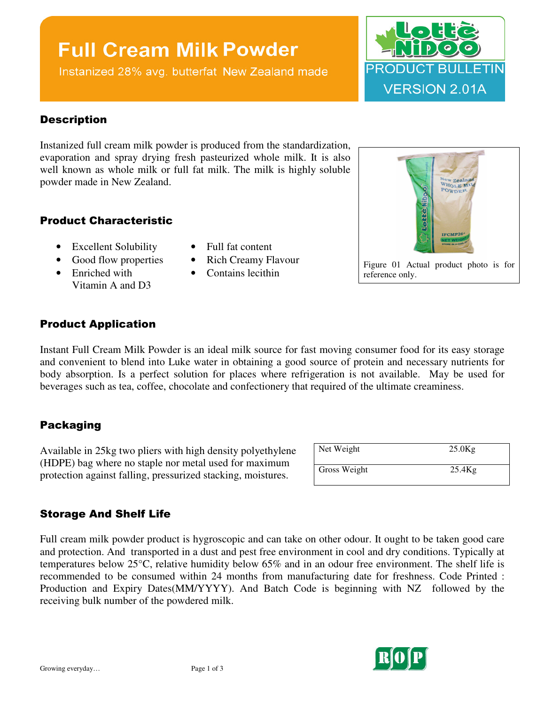## **Full Cream Milk Powder**

Instanized 28% avg. butterfat New Zealand made



#### **Description**

Instanized full cream milk powder is produced from the standardization, evaporation and spray drying fresh pasteurized whole milk. It is also well known as whole milk or full fat milk. The milk is highly soluble powder made in New Zealand.

#### Product Characteristic

- Excellent Solubility Full fat content
- 
- Enriched with Vitamin A and D3
- 
- Good flow properties Rich Creamy Flavour
	- Contains lecithin



Figure 01 Actual product photo is for reference only.

#### Product Application

Instant Full Cream Milk Powder is an ideal milk source for fast moving consumer food for its easy storage and convenient to blend into Luke water in obtaining a good source of protein and necessary nutrients for body absorption. Is a perfect solution for places where refrigeration is not available. May be used for beverages such as tea, coffee, chocolate and confectionery that required of the ultimate creaminess.

#### Packaging

Available in 25kg two pliers with high density polyethylene (HDPE) bag where no staple nor metal used for maximum protection against falling, pressurized stacking, moistures.

| Net Weight   | $25.0$ Kg |
|--------------|-----------|
| Gross Weight | $25.4$ Kg |

#### Storage And Shelf Life

Full cream milk powder product is hygroscopic and can take on other odour. It ought to be taken good care and protection. And transported in a dust and pest free environment in cool and dry conditions. Typically at temperatures below 25°C, relative humidity below 65% and in an odour free environment. The shelf life is recommended to be consumed within 24 months from manufacturing date for freshness. Code Printed : Production and Expiry Dates(MM/YYYY). And Batch Code is beginning with NZ followed by the receiving bulk number of the powdered milk.

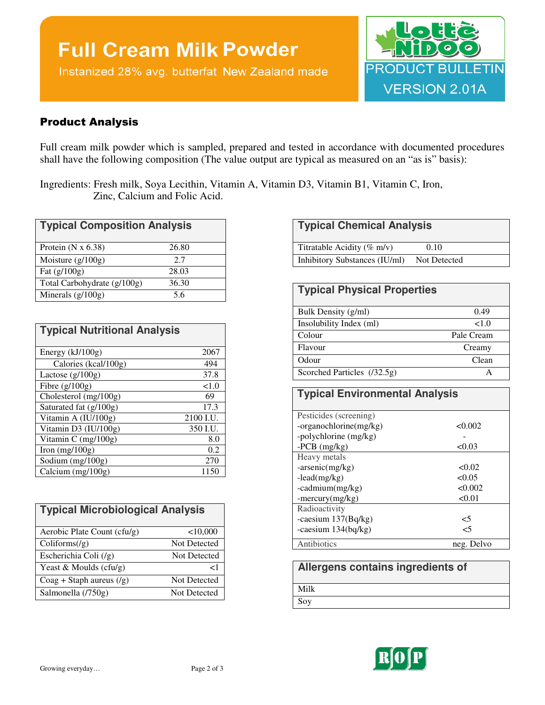# **Full Cream Milk Powder**

Instanized 28% avg. butterfat New Zealand made



#### Product Analysis

Full cream milk powder which is sampled, prepared and tested in accordance with documented procedures shall have the following composition (The value output are typical as measured on an "as is" basis):

Ingredients: Fresh milk, Soya Lecithin, Vitamin A, Vitamin D3, Vitamin B1, Vitamin C, Iron, Zinc, Calcium and Folic Acid.

| <b>Typical Composition Analysis</b> |       |
|-------------------------------------|-------|
| Protein $(N x 6.38)$                | 26.80 |
| Moisture $(g/100g)$                 | 2.7   |
| Fat $(g/100g)$                      | 28.03 |
| Total Carbohydrate (g/100g)         | 36.30 |
| Minerals $(g/100g)$                 | 5.6   |

| <b>Typical Nutritional Analysis</b> |           |
|-------------------------------------|-----------|
|                                     |           |
| Energy (kJ/100g)                    | 2067      |
| Calories (kcal/100g)                | 494       |
| Lactose $(g/100g)$                  | 37.8      |
| Fibre $(g/100g)$                    | ${<}1.0$  |
| Cholesterol (mg/100g)               | 69        |
| Saturated fat (g/100g)              | 17.3      |
| Vitamin A (IU/100g)                 | 2100 I.U. |
| Vitamin D3 (IU/100g)                | 350 I.U.  |
| Vitamin C (mg/100g)                 | 8.0       |
| Iron $(mg/100g)$                    | 0.2       |
| Sodium (mg/100g)                    | 270       |
| Calcium (mg/100g)                   | 1150      |

| <b>Typical Microbiological Analysis</b> |                     |  |
|-----------------------------------------|---------------------|--|
| Aerobic Plate Count (cfu/g)             | < 10,000            |  |
| Coliforms/(g)                           | <b>Not Detected</b> |  |
| Escherichia Coli $(\frac{1}{g})$        | Not Detected        |  |
| Yeast & Moulds $(cfu/g)$                | ا >                 |  |
| $Coag + Staph aureus (g)$               | <b>Not Detected</b> |  |
| Salmonella (/750g)                      | Not Detected        |  |

| Titratable Acidity ( $\%$ m/v) | 0.10         |  |
|--------------------------------|--------------|--|
| Inhibitory Substances (IU/ml)  | Not Detected |  |

| <b>Typical Physical Properties</b> |            |
|------------------------------------|------------|
| Bulk Density (g/ml)                | 0.49       |
| Insolubility Index (ml)            | <1.0       |
| Colour                             | Pale Cream |
| Flavour                            | Creamy     |
| Odour                              | Clean      |
| Scorched Particles (/32.5g)        | А          |

### **Typical Environmental Analysis**

| Pesticides (screening)              |  |
|-------------------------------------|--|
|                                     |  |
| < 0.002<br>$-organochlorine(mg/kg)$ |  |
| -polychlorine (mg/kg)               |  |
| $-PCB$ (mg/kg)<br>< 0.03            |  |
| Heavy metals                        |  |
| $-arsenic(mg/kg)$<br>< 0.02         |  |
| $-lead(mg/kg)$<br>< 0.05            |  |
| -cadmium(mg/kg)<br>< 0.002          |  |
| < 0.01<br>-mercury( $mg/kg$ )       |  |
| Radioactivity                       |  |
| -caesium $137(Bq/kg)$<br>$<$ 5      |  |
| -caesium $134(bq/kg)$<br><5         |  |
| Antibiotics<br>neg. Delvo           |  |

### **Allergens contains ingredients of**

Milk

Soy